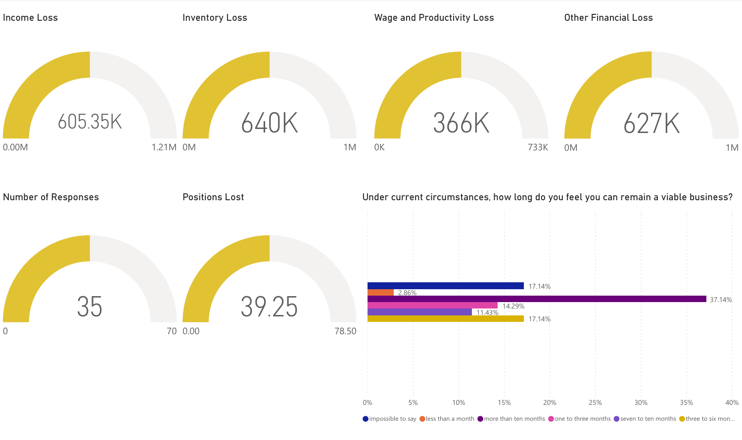

 $\bullet$  impossible to say  $\bullet$  less than a month  $\bullet$  more than ten months  $\bullet$  one to three months  $\bullet$  seven to ten months  $\bullet$  three to six mon...